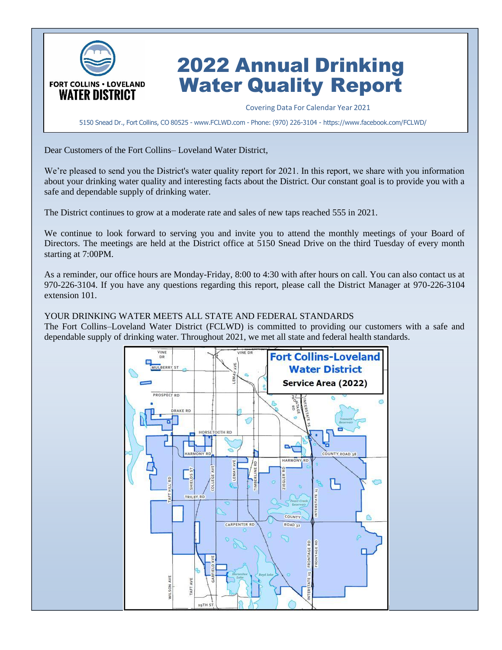

# 2022 Annual Drinking Water Quality Report

Covering Data For Calendar Year 2021

5150 Snead Dr., Fort Collins, CO 80525 - [www.FCLWD.com](http://www.fclwd.com/) - Phone: (970) 226-3104 - https://www.facebook.com/FCLWD/

Dear Customers of the Fort Collins– Loveland Water District,

We're pleased to send you the District's water quality report for 2021. In this report, we share with you information about your drinking water quality and interesting facts about the District. Our constant goal is to provide you with a safe and dependable supply of drinking water.

The District continues to grow at a moderate rate and sales of new taps reached 555 in 2021.

We continue to look forward to serving you and invite you to attend the monthly meetings of your Board of Directors. The meetings are held at the District office at 5150 Snead Drive on the third Tuesday of every month starting at 7:00PM.

As a reminder, our office hours are Monday-Friday, 8:00 to 4:30 with after hours on call. You can also contact us at 970-226-3104. If you have any questions regarding this report, please call the District Manager at 970-226-3104 extension 101.

YOUR DRINKING WATER MEETS ALL STATE AND FEDERAL STANDARDS

The Fort Collins–Loveland Water District (FCLWD) is committed to providing our customers with a safe and dependable supply of drinking water. Throughout 2021, we met all state and federal health standards.

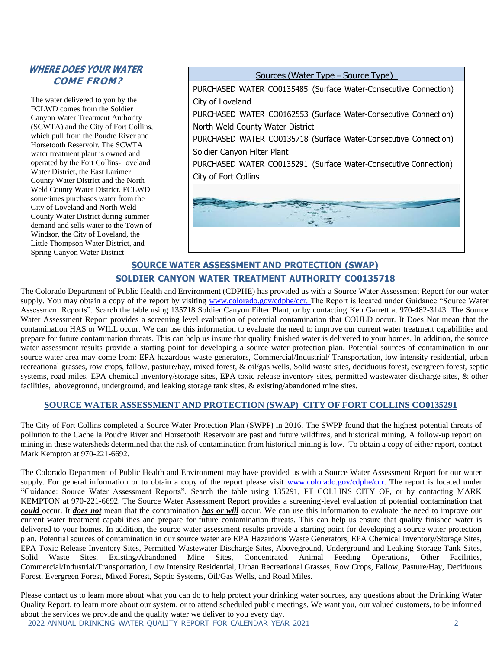#### **WHERE DOES YOUR WATER COME FROM?**

The water delivered to you by the FCLWD comes from the Soldier Canyon Water Treatment Authority (SCWTA) and the City of Fort Collins, which pull from the Poudre River and Horsetooth Reservoir. The SCWTA water treatment plant is owned and operated by the Fort Collins-Loveland Water District, the East Larimer County Water District and the North Weld County Water District. FCLWD sometimes purchases water from the City of Loveland and North Weld County Water District during summer demand and sells water to the Town of Windsor, the City of Loveland, the Little Thompson Water District, and Spring Canyon Water District.

Sources (Water Type – Source Type)\_

PURCHASED WATER CO0135485 (Surface Water-Consecutive Connection) City of Loveland

PURCHASED WATER CO0162553 (Surface Water-Consecutive Connection) North Weld County Water District

PURCHASED WATER CO0135718 (Surface Water-Consecutive Connection) Soldier Canyon Filter Plant

PURCHASED WATER CO0135291 (Surface Water-Consecutive Connection) City of Fort Collins



## **SOURCE WATER ASSESSMENT AND PROTECTION (SWAP) SOLDIER CANYON WATER TREATMENT AUTHORITY CO0135718**

The Colorado Department of Public Health and Environment (CDPHE) has provided us with a Source Water Assessment Report for our water supply. You may obtain a copy of the report by visiting [www.colorado.gov/cdphe/ccr. T](http://www.colorado.gov/cdphe/ccr.)he Report is located under Guidance "Source Water Assessment Reports". Search the table using 135718 Soldier Canyon Filter Plant, or by contacting Ken Garrett at 970-482-3143. The Source Water Assessment Report provides a screening level evaluation of potential contamination that COULD occur. It Does Not mean that the contamination HAS or WILL occur. We can use this information to evaluate the need to improve our current water treatment capabilities and prepare for future contamination threats. This can help us insure that quality finished water is delivered to your homes. In addition, the source water assessment results provide a starting point for developing a source water protection plan. Potential sources of contamination in our source water area may come from: EPA hazardous waste generators, Commercial/Industrial/ Transportation, low intensity residential, urban recreational grasses, row crops, fallow, pasture/hay, mixed forest, & oil/gas wells, Solid waste sites, deciduous forest, evergreen forest, septic systems, road miles, EPA chemical inventory/storage sites, EPA toxic release inventory sites, permitted wastewater discharge sites, & other facilities, aboveground, underground, and leaking storage tank sites, & existing/abandoned mine sites.

#### **SOURCE WATER ASSESSMENT AND PROTECTION (SWAP) CITY OF FORT COLLINS CO0135291**

The City of Fort Collins completed a Source Water Protection Plan (SWPP) in 2016. The SWPP found that the highest potential threats of pollution to the Cache la Poudre River and Horsetooth Reservoir are past and future wildfires, and historical mining. A follow-up report on mining in these watersheds determined that the risk of contamination from historical mining is low. To obtain a copy of either report, contact Mark Kempton at 970-221-6692.

The Colorado Department of Public Health and Environment may have provided us with a Source Water Assessment Report for our water supply. For general information or to obtain a copy of the report please visit [www.colorado.gov/cdphe/ccr.](http://www.colorado.gov/cdphe/ccr) The report is located under "Guidance: Source Water Assessment Reports". Search the table using 135291, FT COLLINS CITY OF, or by contacting MARK KEMPTON at 970-221-6692. The Source Water Assessment Report provides a screening-level evaluation of potential contamination that *could* occur. It *does not* mean that the contamination *has or will* occur. We can use this information to evaluate the need to improve our current water treatment capabilities and prepare for future contamination threats. This can help us ensure that quality finished water is delivered to your homes. In addition, the source water assessment results provide a starting point for developing a source water protection plan. Potential sources of contamination in our source water are EPA Hazardous Waste Generators, EPA Chemical Inventory/Storage Sites, EPA Toxic Release Inventory Sites, Permitted Wastewater Discharge Sites, Aboveground, Underground and Leaking Storage Tank Sites, Solid Waste Sites, Existing/Abandoned Mine Sites, Concentrated Animal Feeding Operations, Other Facilities, Commercial/Industrial/Transportation, Low Intensity Residential, Urban Recreational Grasses, Row Crops, Fallow, Pasture/Hay, Deciduous Forest, Evergreen Forest, Mixed Forest, Septic Systems, Oil/Gas Wells, and Road Miles.

Please contact us to learn more about what you can do to help protect your drinking water sources, any questions about the Drinking Water Quality Report, to learn more about our system, or to attend scheduled public meetings. We want you, our valued customers, to be informed about the services we provide and the quality water we deliver to you every day.

2022 ANNUAL DRINKING WATER QUALITY REPORT FOR CALENDAR YEAR 2021 2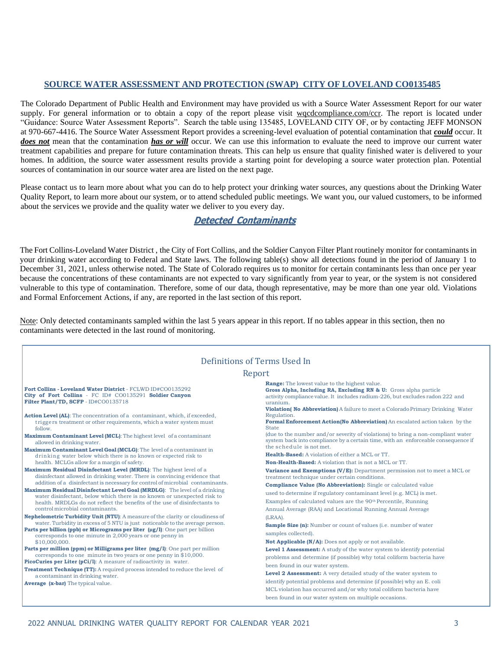#### **SOURCE WATER ASSESSMENT AND PROTECTION (SWAP) CITY OF LOVELAND CO0135485**

The Colorado Department of Public Health and Environment may have provided us with a Source Water Assessment Report for our water supply. For general information or to obtain a copy of the report please visit wqcdcompliance.com/ccr. The report is located under "Guidance: Source Water Assessment Reports". Search the table using 135485, LOVELAND CITY OF, or by contacting JEFF MONSON at 970-667-4416. The Source Water Assessment Report provides a screening-level evaluation of potential contamination that *could* occur. It *does not* mean that the contamination *has or will* occur. We can use this information to evaluate the need to improve our current water treatment capabilities and prepare for future contamination threats. This can help us ensure that quality finished water is delivered to your homes. In addition, the source water assessment results provide a starting point for developing a source water protection plan. Potential sources of contamination in our source water area are listed on the next page.

Please contact us to learn more about what you can do to help protect your drinking water sources, any questions about the Drinking Water Quality Report, to learn more about our system, or to attend scheduled public meetings. We want you, our valued customers, to be informed about the services we provide and the quality water we deliver to you every day.

#### **Detected Contaminants**

The Fort Collins-Loveland Water District , the City of Fort Collins, and the Soldier Canyon Filter Plant routinely monitor for contaminantsin your drinking water according to Federal and State laws. The following table(s) show all detections found in the period of January 1 to December 31, 2021, unless otherwise noted. The State of Colorado requires us to monitor for certain contaminants less than once per year because the concentrations of these contaminants are not expected to vary significantly from year to year, or the system is not considered vulnerable to this type of contamination. Therefore, some of our data, though representative, may be more than one year old. Violations and Formal Enforcement Actions, if any, are reported in the last section of this report.

Note: Only detected contaminants sampled within the last 5 years appear in this report. If no tables appear in this section, then no contaminants were detected in the last round of monitoring.

|                                                                                                                                                                                                                                                                                                                                                                                                                                                                                                                                                                                                                                                                                                                                                                                                                                                                                                                                                                                                                                                                                                                                                                                                                                                                                                                                                                                                                                                                                                                                                                                                                                                                                                                                                                                                   | Definitions of Terms Used In                                                                                                                                                                                                                                                                                                                                                                                                                                                                                                                                                                                                                                                                                                                                                                                                                                                                                                                                                                                                                                                                                                                                                                                                                                                                                                                                                                                                                                                                                                                      |
|---------------------------------------------------------------------------------------------------------------------------------------------------------------------------------------------------------------------------------------------------------------------------------------------------------------------------------------------------------------------------------------------------------------------------------------------------------------------------------------------------------------------------------------------------------------------------------------------------------------------------------------------------------------------------------------------------------------------------------------------------------------------------------------------------------------------------------------------------------------------------------------------------------------------------------------------------------------------------------------------------------------------------------------------------------------------------------------------------------------------------------------------------------------------------------------------------------------------------------------------------------------------------------------------------------------------------------------------------------------------------------------------------------------------------------------------------------------------------------------------------------------------------------------------------------------------------------------------------------------------------------------------------------------------------------------------------------------------------------------------------------------------------------------------------|---------------------------------------------------------------------------------------------------------------------------------------------------------------------------------------------------------------------------------------------------------------------------------------------------------------------------------------------------------------------------------------------------------------------------------------------------------------------------------------------------------------------------------------------------------------------------------------------------------------------------------------------------------------------------------------------------------------------------------------------------------------------------------------------------------------------------------------------------------------------------------------------------------------------------------------------------------------------------------------------------------------------------------------------------------------------------------------------------------------------------------------------------------------------------------------------------------------------------------------------------------------------------------------------------------------------------------------------------------------------------------------------------------------------------------------------------------------------------------------------------------------------------------------------------|
|                                                                                                                                                                                                                                                                                                                                                                                                                                                                                                                                                                                                                                                                                                                                                                                                                                                                                                                                                                                                                                                                                                                                                                                                                                                                                                                                                                                                                                                                                                                                                                                                                                                                                                                                                                                                   | Report                                                                                                                                                                                                                                                                                                                                                                                                                                                                                                                                                                                                                                                                                                                                                                                                                                                                                                                                                                                                                                                                                                                                                                                                                                                                                                                                                                                                                                                                                                                                            |
| Fort Collins - Loveland Water District - FCLWD ID#C00135292<br>City of Fort Collins - FC ID# CO0135291 Soldier Canyon<br>Filter Plant/TD, SCFP - ID#CO0135718<br>Action Level (AL): The concentration of a contaminant, which, if exceeded,<br>triggers treatment or other requirements, which a water system must<br>follow.<br><b>Maximum Contaminant Level (MCL):</b> The highest level of a contaminant<br>allowed in drinking water.<br>Maximum Contaminant Level Goal (MCLG): The level of a contaminant in<br>drinking water below which there is no known or expected risk to<br>health. MCLGs allow for a margin of safety.<br>Maximum Residual Disinfectant Level (MRDL): The highest level of a<br>disinfectant allowed in drinking water. There is convincing evidence that<br>addition of a disinfectant is necessary for control of microbial contaminants.<br>Maximum Residual Disinfectant Level Goal (MRDLG): The level of a drinking<br>water disinfectant, below which there is no known or unexpected risk to<br>health. MRDLGs do not reflect the benefits of the use of disinfectants to<br>control microbial contaminants.<br>Nephelometric Turbidity Unit (NTU): A measure of the clarity or cloudiness of<br>water. Turbidity in excess of 5 NTU is just noticeable to the average person.<br>Parts per billion (ppb) or Micrograms per liter (µg/1): One part per billion<br>corresponds to one minute in 2,000 years or one penny in<br>\$10,000,000.<br>Parts per million (ppm) or Milligrams per liter (mg/l): One part per million<br>corresponds to one minute in two years or one penny in \$10,000.<br>PicoCuries per Liter (pCi/l): A measure of radioactivity in water.<br><b>Treatment Technique (TT):</b> A required process intended to reduce the level of | <b>Range:</b> The lowest value to the highest value.<br>Gross Alpha, Including RA, Excluding RN & U: Gross alpha particle<br>activity compliance value. It includes radium-226, but excludes radon 222 and<br>uranium.<br>Violation(No Abbreviation) A failure to meet a Colorado Primary Drinking Water<br>Regulation.<br>Formal Enforcement Action(No Abbreviation) An escalated action taken by the<br><b>State</b><br>(due to the number and/or severity of violations) to bring a non-compliant water<br>system back into compliance by a certain time, with an enforceable consequence if<br>the schedule is not met.<br>Health-Based: A violation of either a MCL or TT.<br><b>Non-Health-Based:</b> A violation that is not a MCL or TT.<br><b>Variance and Exemptions (V/E):</b> Department permission not to meet a MCL or<br>treatment technique under certain conditions.<br><b>Compliance Value (No Abbreviation):</b> Single or calculated value<br>used to determine if regulatory contaminant level (e.g. MCL) is met.<br>Examples of calculated values are the 90 <sup>th</sup> Percentile, Running<br>Annual Average (RAA) and Locational Running Annual Average<br>$(LRAA)$ .<br>Sample Size (n): Number or count of values (i.e. number of water<br>samples collected).<br><b>Not Applicable (N/A):</b> Does not apply or not available.<br>Level 1 Assessment: A study of the water system to identify potential<br>problems and determine (if possible) why total coliform bacteria have<br>been found in our water system. |
| a contaminant in drinking water.<br>Average (x-bar) The typical value.                                                                                                                                                                                                                                                                                                                                                                                                                                                                                                                                                                                                                                                                                                                                                                                                                                                                                                                                                                                                                                                                                                                                                                                                                                                                                                                                                                                                                                                                                                                                                                                                                                                                                                                            | Level 2 Assessment: A very detailed study of the water system to<br>identify potential problems and determine (if possible) why an E. coli<br>MCL violation has occurred and/or why total coliform bacteria have<br>been found in our water system on multiple occasions.                                                                                                                                                                                                                                                                                                                                                                                                                                                                                                                                                                                                                                                                                                                                                                                                                                                                                                                                                                                                                                                                                                                                                                                                                                                                         |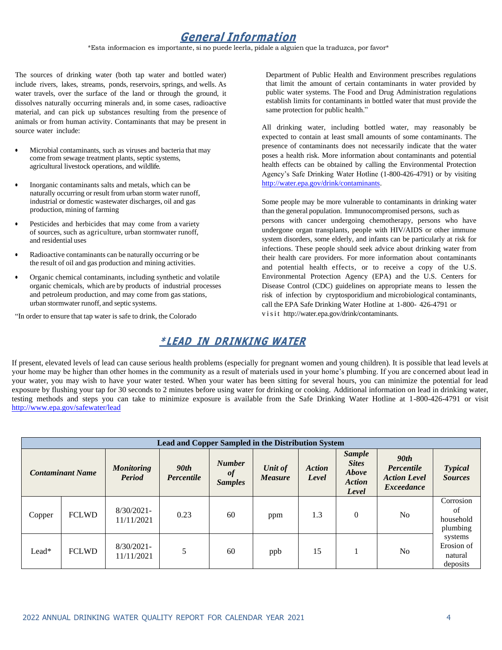# **General Information**

\*Esta informacion es importante, si no puede leerla, pidale a alguien que la traduzca, por favor\*

The sources of drinking water (both tap water and bottled water) include rivers, lakes, streams, ponds, reservoirs, springs, and wells. As water travels, over the surface of the land or through the ground, it dissolves naturally occurring minerals and, in some cases, radioactive material, and can pick up substances resulting from the presence of animals or from human activity. Contaminants that may be present in source water include:

- Microbial contaminants, such as viruses and bacteria that may come from sewage treatment plants, septic systems, agricultural livestock operations, and wildlife.
- Inorganic contaminants salts and metals, which can be naturally occurring or result from urban storm water runoff, industrial or domestic wastewater discharges, oil and gas production, mining of farming
- Pesticides and herbicides that may come from a variety of sources, such as agriculture, urban stormwater runoff, and residential uses
- Radioactive contaminants can be naturally occurring or be the result of oil and gas production and mining activities.
- Organic chemical contaminants, including synthetic and volatile organic chemicals, which are by products of industrial processes and petroleum production, and may come from gas stations, urban stormwater runoff, and septic systems.

"In order to ensure that tap water is safe to drink, the Colorado

Department of Public Health and Environment prescribes regulations that limit the amount of certain contaminants in water provided by public water systems. The Food and Drug Administration regulations establish limits for contaminants in bottled water that must provide the same protection for public health."

All drinking water, including bottled water, may reasonably be expected to contain at least small amounts of some contaminants. The presence of contaminants does not necessarily indicate that the water poses a health risk. More information about contaminants and potential health effects can be obtained by calling the Environmental Protection Agency's Safe Drinking Water Hotline (1-800-426-4791) or by visiting [http://water.epa.gov/drink/contaminants.](http://water.epa.gov/drink/contaminants)

Some people may be more vulnerable to contaminants in drinking water than the general population. Immunocompromised persons, such as

persons with cancer undergoing chemotherapy, persons who have undergone organ transplants, people with HIV/AIDS or other immune system disorders, some elderly, and infants can be particularly at risk for infections. These people should seek advice about drinking water from their health care providers. For more information about contaminants and potential health effects, or to receive a copy of the U.S. Environmental Protection Agency (EPA) and the U.S. Centers for Disease Control (CDC) guidelines on appropriate means to lessen the risk of infection by cryptosporidium and microbiological contaminants, call the EPA Safe Drinking Water Hotline at 1-800- 426-4791 or v isi t [http://water.epa.gov/drink/contaminants.](http://water.epa.gov/drink/contaminants)

#### **\* LEAD IN DRINKING WATER**

If present, elevated levels of lead can cause serious health problems (especially for pregnant women and young children). It is possible that lead levels at your home may be higher than other homes in the community as a result of materials used in your home's plumbing. If you are concerned about lead in your water, you may wish to have your water tested. When your water has been sitting for several hours, you can minimize the potential for lead exposure by flushing your tap for 30 seconds to 2 minutes before using water for drinking or cooking. Additional information on lead in drinking water, testing methods and steps you can take to minimize exposure is available from the Safe Drinking Water Hotline at 1-800-426-4791 or visit <http://www.epa.gov/safewater/lead>

|                         | <b>Lead and Copper Sampled in the Distribution System</b> |                                    |                                                             |    |                           |                        |                                                                  |                                                                                   |                                              |  |  |  |  |
|-------------------------|-----------------------------------------------------------|------------------------------------|-------------------------------------------------------------|----|---------------------------|------------------------|------------------------------------------------------------------|-----------------------------------------------------------------------------------|----------------------------------------------|--|--|--|--|
| <b>Contaminant Name</b> |                                                           | <b>Monitoring</b><br><b>Period</b> | <b>Number</b><br>90th<br>of<br>Percentile<br><b>Samples</b> |    | Unit of<br><b>Measure</b> | <b>Action</b><br>Level | <b>Sample</b><br><b>Sites</b><br>Above<br><b>Action</b><br>Level | 90 <sub>th</sub><br><b>Percentile</b><br><b>Action Level</b><br><b>Exceedance</b> | <b>Typical</b><br><b>Sources</b>             |  |  |  |  |
| Copper                  | <b>FCLWD</b>                                              | $8/30/2021$ -<br>11/11/2021        | 0.23                                                        | 60 | ppm                       | 1.3                    | $\overline{0}$                                                   | N <sub>0</sub>                                                                    | Corrosion<br>of<br>household<br>plumbing     |  |  |  |  |
| $Leaf*$                 | <b>FCLWD</b>                                              | 8/30/2021<br>11/11/2021            | 5                                                           | 60 | ppb                       | 15                     |                                                                  | N <sub>o</sub>                                                                    | systems<br>Erosion of<br>natural<br>deposits |  |  |  |  |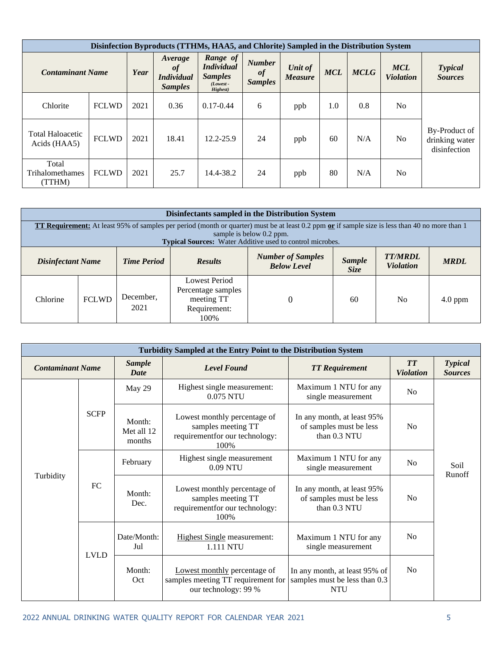| Disinfection Byproducts (TTHMs, HAA5, and Chlorite) Sampled in the Distribution System |              |      |                                                      |                                                                            |                                       |                           |            |             |                                |                                                 |  |  |
|----------------------------------------------------------------------------------------|--------------|------|------------------------------------------------------|----------------------------------------------------------------------------|---------------------------------------|---------------------------|------------|-------------|--------------------------------|-------------------------------------------------|--|--|
| <b>Contaminant Name</b>                                                                |              | Year | Average<br>of<br><i>Individual</i><br><b>Samples</b> | Range of<br><b>Individual</b><br><b>Samples</b><br>$(Lowest -$<br>Highest) | <b>Number</b><br>of<br><b>Samples</b> | Unit of<br><b>Measure</b> | <b>MCL</b> | <b>MCLG</b> | <b>MCL</b><br><b>Violation</b> | <b>Typical</b><br><b>Sources</b>                |  |  |
| Chlorite                                                                               | <b>FCLWD</b> | 2021 | 0.36                                                 | $0.17 - 0.44$                                                              | 6                                     | ppb                       | 1.0        | 0.8         | N <sub>o</sub>                 |                                                 |  |  |
| <b>Total Haloacetic</b><br>Acids (HAA5)                                                | <b>FCLWD</b> | 2021 | 18.41                                                | 12.2-25.9                                                                  | 24                                    | ppb                       | 60         | N/A         | N <sub>o</sub>                 | By-Product of<br>drinking water<br>disinfection |  |  |
| Total<br>Trihalomethames<br>(TTHM)                                                     | <b>FCLWD</b> | 2021 | 25.7                                                 | 14.4-38.2                                                                  | 24                                    | ppb                       | 80         | N/A         | N <sub>o</sub>                 |                                                 |  |  |

|                                                                                                                                                                                                                                                 | Disinfectants sampled in the Distribution System |                    |                                                                                  |                                                |                       |                                    |             |  |  |  |
|-------------------------------------------------------------------------------------------------------------------------------------------------------------------------------------------------------------------------------------------------|--------------------------------------------------|--------------------|----------------------------------------------------------------------------------|------------------------------------------------|-----------------------|------------------------------------|-------------|--|--|--|
| <b>TT Requirement:</b> At least 95% of samples per period (month or quarter) must be at least 0.2 ppm or if sample size is less than 40 no more than 1<br>sample is below 0.2 ppm.<br>Typical Sources: Water Additive used to control microbes. |                                                  |                    |                                                                                  |                                                |                       |                                    |             |  |  |  |
| <b>Disinfectant Name</b>                                                                                                                                                                                                                        |                                                  | <b>Time Period</b> | <b>Results</b>                                                                   | <b>Number of Samples</b><br><b>Below Level</b> | <b>Sample</b><br>Size | <b>TT/MRDL</b><br><b>Violation</b> | <b>MRDL</b> |  |  |  |
| Chlorine                                                                                                                                                                                                                                        | <b>FCLWD</b>                                     | December,<br>2021  | <b>Lowest Period</b><br>Percentage samples<br>meeting TT<br>Requirement:<br>100% | $\Omega$                                       | 60                    | N <sub>0</sub>                     | $4.0$ ppm   |  |  |  |

| Turbidity Sampled at the Entry Point to the Distribution System |                         |                                |                                                                                                                                                                           |                                                                              |                               |                                  |  |  |  |  |  |
|-----------------------------------------------------------------|-------------------------|--------------------------------|---------------------------------------------------------------------------------------------------------------------------------------------------------------------------|------------------------------------------------------------------------------|-------------------------------|----------------------------------|--|--|--|--|--|
|                                                                 | <b>Contaminant Name</b> |                                | <b>Level Found</b>                                                                                                                                                        | <b>TT</b> Requirement                                                        | <b>TT</b><br><b>Violation</b> | <b>Typical</b><br><b>Sources</b> |  |  |  |  |  |
|                                                                 |                         | May 29                         | Highest single measurement:<br>0.075 NTU                                                                                                                                  | Maximum 1 NTU for any<br>single measurement                                  | N <sub>o</sub>                |                                  |  |  |  |  |  |
| Turbidity                                                       | <b>SCFP</b>             | Month:<br>Met all 12<br>months | Lowest monthly percentage of<br>In any month, at least 95%<br>samples meeting TT<br>of samples must be less<br>requirement<br>for our technology:<br>than 0.3 NTU<br>100% |                                                                              | N <sub>o</sub>                |                                  |  |  |  |  |  |
|                                                                 | FC                      | February                       | Highest single measurement<br>0.09 NTU                                                                                                                                    | Maximum 1 NTU for any<br>single measurement                                  | N <sub>0</sub>                | Soil<br>Runoff                   |  |  |  |  |  |
|                                                                 |                         | Month:<br>Dec.                 | Lowest monthly percentage of<br>samples meeting TT<br>requirement<br>for our technology:<br>100%                                                                          | In any month, at least 95%<br>of samples must be less<br>than 0.3 NTU        | N <sub>0</sub>                |                                  |  |  |  |  |  |
|                                                                 | <b>LVLD</b>             | Date/Month:<br>Jul             | <b>Highest Single measurement:</b><br>1.111 NTU                                                                                                                           | Maximum 1 NTU for any<br>single measurement                                  | No                            |                                  |  |  |  |  |  |
|                                                                 |                         | Month:<br>Oct                  | Lowest monthly percentage of<br>samples meeting TT requirement for<br>our technology: 99 %                                                                                | In any month, at least 95% of<br>samples must be less than 0.3<br><b>NTU</b> | No                            |                                  |  |  |  |  |  |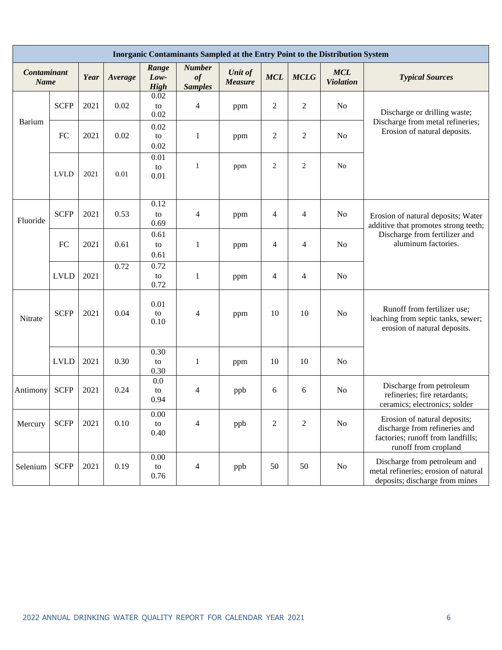|                            | Inorganic Contaminants Sampled at the Entry Point to the Distribution System |      |         |                              |                                             |                           |                |                |                                |                                                                                                                            |  |  |  |
|----------------------------|------------------------------------------------------------------------------|------|---------|------------------------------|---------------------------------------------|---------------------------|----------------|----------------|--------------------------------|----------------------------------------------------------------------------------------------------------------------------|--|--|--|
| Contaminant<br><b>Name</b> |                                                                              | Year | Average | Range<br>Low-<br><b>High</b> | <b>Number</b><br>$\it of$<br><b>Samples</b> | Unit of<br><b>Measure</b> | <b>MCL</b>     | <b>MCLG</b>    | <b>MCL</b><br><b>Violation</b> | <b>Typical Sources</b>                                                                                                     |  |  |  |
|                            | <b>SCFP</b>                                                                  | 2021 | 0.02    | 0.02<br>to<br>0.02           | 4                                           | ppm                       | $\overline{c}$ | 2              | N <sub>o</sub>                 | Discharge or drilling waste;                                                                                               |  |  |  |
| <b>Barium</b>              | FC                                                                           | 2021 | 0.02    | 0.02<br>to<br>0.02           | 1                                           | ppm                       | $\overline{2}$ | $\overline{2}$ | N <sub>o</sub>                 | Discharge from metal refineries;<br>Erosion of natural deposits.                                                           |  |  |  |
|                            | <b>LVLD</b>                                                                  | 2021 | 0.01    | 0.01<br>to<br>0.01           | $\mathbf{1}$                                | ppm                       | $\overline{c}$ | $\overline{2}$ | No                             |                                                                                                                            |  |  |  |
| Fluoride                   | <b>SCFP</b>                                                                  | 2021 | 0.53    | 0.12<br>to<br>0.69           | 4                                           | ppm                       | 4              | $\overline{4}$ | N <sub>o</sub>                 | Erosion of natural deposits; Water<br>additive that promotes strong teeth;                                                 |  |  |  |
|                            | FC                                                                           | 2021 | 0.61    | 0.61<br>to<br>0.61           | $\mathbf{1}$                                | ppm                       | 4              | $\overline{4}$ | N <sub>o</sub>                 | Discharge from fertilizer and<br>aluminum factories.                                                                       |  |  |  |
|                            | <b>LVLD</b>                                                                  | 2021 | 0.72    | 0.72<br>to<br>0.72           | $\mathbf{1}$                                | ppm                       | $\overline{4}$ | $\overline{4}$ | N <sub>o</sub>                 |                                                                                                                            |  |  |  |
| Nitrate                    | <b>SCFP</b>                                                                  | 2021 | 0.04    | 0.01<br>to<br>0.10           | 4                                           | ppm                       | 10             | 10             | N <sub>o</sub>                 | Runoff from fertilizer use;<br>leaching from septic tanks, sewer;<br>erosion of natural deposits.                          |  |  |  |
|                            | <b>LVLD</b>                                                                  | 2021 | 0.30    | 0.30<br>to<br>0.30           | 1                                           | ppm                       | 10             | 10             | N <sub>o</sub>                 |                                                                                                                            |  |  |  |
| Antimony                   | <b>SCFP</b>                                                                  | 2021 | 0.24    | 0.0<br>to<br>0.94            | 4                                           | ppb                       | 6              | 6              | N <sub>o</sub>                 | Discharge from petroleum<br>refineries; fire retardants;<br>ceramics; electronics; solder                                  |  |  |  |
| Mercury                    | <b>SCFP</b>                                                                  | 2021 | 0.10    | $0.00\,$<br>to<br>0.40       | 4                                           | ppb                       | $\overline{2}$ | $\overline{2}$ | No                             | Erosion of natural deposits;<br>discharge from refineries and<br>factories; runoff from landfills;<br>runoff from cropland |  |  |  |
| Selenium                   | <b>SCFP</b>                                                                  | 2021 | 0.19    | 0.00<br>to<br>0.76           | $\overline{\mathcal{A}}$                    | ppb                       | 50             | 50             | No                             | Discharge from petroleum and<br>metal refineries; erosion of natural<br>deposits; discharge from mines                     |  |  |  |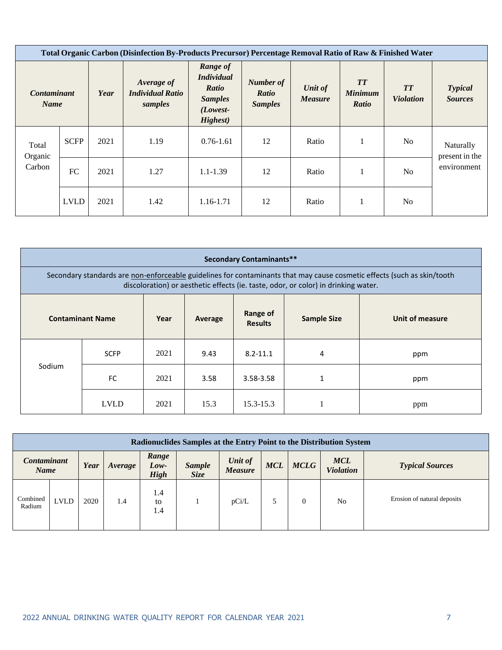|                                   | Total Organic Carbon (Disinfection By-Products Precursor) Percentage Removal Ratio of Raw & Finished Water |      |                                                  |                                                                                           |                                      |                           |                                      |                               |                                  |  |  |  |
|-----------------------------------|------------------------------------------------------------------------------------------------------------|------|--------------------------------------------------|-------------------------------------------------------------------------------------------|--------------------------------------|---------------------------|--------------------------------------|-------------------------------|----------------------------------|--|--|--|
| <b>Contaminant</b><br><b>Name</b> |                                                                                                            | Year | Average of<br><b>Individual Ratio</b><br>samples | Range of<br><b>Individual</b><br><b>Ratio</b><br><b>Samples</b><br>$(Lowest-$<br>Highest) | Number of<br>Ratio<br><b>Samples</b> | Unit of<br><b>Measure</b> | <b>TT</b><br><b>Minimum</b><br>Ratio | <b>TT</b><br><b>Violation</b> | <b>Typical</b><br><b>Sources</b> |  |  |  |
| Total<br>Organic                  | <b>SCFP</b>                                                                                                | 2021 | 1.19                                             | $0.76 - 1.61$                                                                             | 12                                   | Ratio                     |                                      | N <sub>o</sub>                | Naturally<br>present in the      |  |  |  |
| Carbon                            | FC                                                                                                         | 2021 | 1.27                                             | $1.1 - 1.39$                                                                              | 12                                   | Ratio                     |                                      | N <sub>o</sub>                | environment                      |  |  |  |
|                                   | <b>LVLD</b>                                                                                                | 2021 | 1.42                                             | 1.16-1.71                                                                                 | 12                                   | Ratio                     |                                      | N <sub>o</sub>                |                                  |  |  |  |

| <b>Secondary Contaminants**</b>                                                                                                                                                                               |                         |      |         |                            |                    |                 |  |  |  |  |  |
|---------------------------------------------------------------------------------------------------------------------------------------------------------------------------------------------------------------|-------------------------|------|---------|----------------------------|--------------------|-----------------|--|--|--|--|--|
| Secondary standards are non-enforceable guidelines for contaminants that may cause cosmetic effects (such as skin/tooth<br>discoloration) or aesthetic effects (ie. taste, odor, or color) in drinking water. |                         |      |         |                            |                    |                 |  |  |  |  |  |
|                                                                                                                                                                                                               | <b>Contaminant Name</b> | Year | Average | Range of<br><b>Results</b> | <b>Sample Size</b> | Unit of measure |  |  |  |  |  |
|                                                                                                                                                                                                               | <b>SCFP</b>             | 2021 | 9.43    | $8.2 - 11.1$               | 4                  | ppm             |  |  |  |  |  |
| Sodium                                                                                                                                                                                                        | FC.                     | 2021 | 3.58    | 3.58-3.58                  | 1                  | ppm             |  |  |  |  |  |
|                                                                                                                                                                                                               | <b>LVLD</b>             | 2021 | 15.3    | $15.3 - 15.3$              |                    | ppm             |  |  |  |  |  |

| Radionuclides Samples at the Entry Point to the Distribution System |             |      |         |                                                       |  |                           |            |                |                                |                             |  |
|---------------------------------------------------------------------|-------------|------|---------|-------------------------------------------------------|--|---------------------------|------------|----------------|--------------------------------|-----------------------------|--|
| <b>Contaminant</b><br><b>Name</b>                                   |             | Year | Average | Range<br>Low-<br>Sample<br><b>Size</b><br><b>High</b> |  | Unit of<br><b>Measure</b> | <b>MCL</b> | <b>MCLG</b>    | <b>MCL</b><br><b>Violation</b> | <b>Typical Sources</b>      |  |
| Combined<br>Radium                                                  | <b>LVLD</b> | 2020 | 1.4     | 1.4<br>to<br>1.4                                      |  | pCi/L                     |            | $\overline{0}$ | No                             | Erosion of natural deposits |  |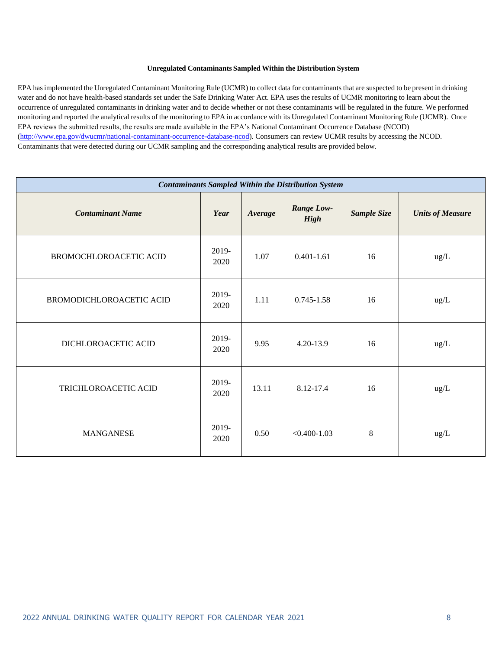#### **Unregulated Contaminants Sampled Within the Distribution System**

EPA hasimplemented the Unregulated Contaminant Monitoring Rule (UCMR) to collect data for contaminants that are suspected to be present in drinking water and do not have health-based standards set under the Safe Drinking Water Act. EPA uses the results of UCMR monitoring to learn about the occurrence of unregulated contaminants in drinking water and to decide whether or not these contaminants will be regulated in the future. We performed monitoring and reported the analytical results of the monitoring to EPA in accordance with its Unregulated Contaminant Monitoring Rule (UCMR). Once EPA reviews the submitted results, the results are made available in the EPA's National Contaminant Occurrence Database (NCOD) [\(http://www.epa.gov/dwucmr/national-contaminant-occurrence-database-ncod\).](http://www.epa.gov/dwucmr/national-contaminant-occurrence-database-ncod)) Consumers can review UCMR results by accessing the NCOD. Contaminants that were detected during our UCMR sampling and the corresponding analytical results are provided below.

| <b>Contaminants Sampled Within the Distribution System</b> |               |         |                                  |             |                         |  |  |  |  |  |  |
|------------------------------------------------------------|---------------|---------|----------------------------------|-------------|-------------------------|--|--|--|--|--|--|
| <b>Contaminant Name</b>                                    | Year          | Average | <b>Range Low-</b><br><b>High</b> | Sample Size | <b>Units of Measure</b> |  |  |  |  |  |  |
| BROMOCHLOROACETIC ACID                                     | 2019-<br>2020 | 1.07    | $0.401 - 1.61$                   | 16          | ug/L                    |  |  |  |  |  |  |
| BROMODICHLOROACETIC ACID                                   | 2019-<br>2020 | 1.11    | $0.745 - 1.58$                   | 16          | ug/L                    |  |  |  |  |  |  |
| DICHLOROACETIC ACID                                        | 2019-<br>2020 | 9.95    | 4.20-13.9                        | 16          | ug/L                    |  |  |  |  |  |  |
| TRICHLOROACETIC ACID                                       | 2019-<br>2020 | 13.11   | 8.12-17.4                        | 16          | ug/L                    |  |  |  |  |  |  |
| <b>MANGANESE</b>                                           | 2019-<br>2020 | 0.50    | $< 0.400 - 1.03$                 | 8           | ug/L                    |  |  |  |  |  |  |